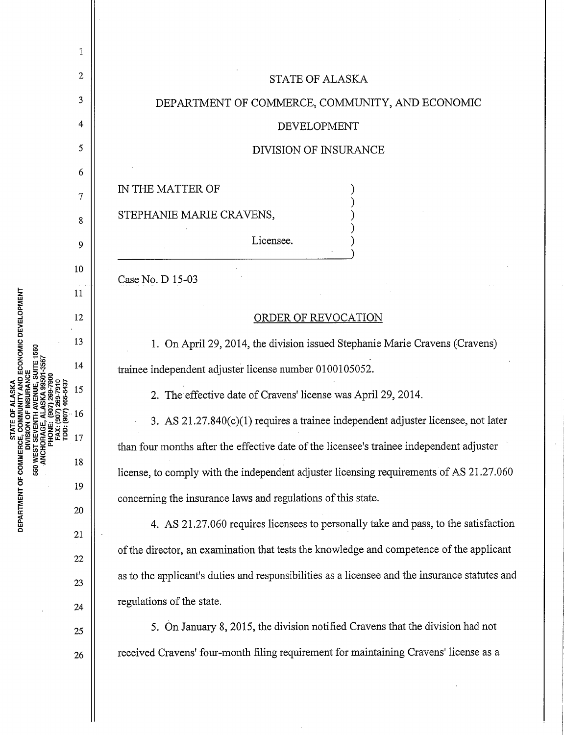|                                                                                                   | 1  |                                                                                                |
|---------------------------------------------------------------------------------------------------|----|------------------------------------------------------------------------------------------------|
| ECONOMIC DEVELOPMENT<br><b>STATE</b><br>FRCE, COM<br>DIVISION (<br>DEPARTMENT OF COMMERCE,<br>550 | 2  | <b>STATE OF ALASKA</b>                                                                         |
|                                                                                                   | 3  | DEPARTMENT OF COMMERCE, COMMUNITY, AND ECONOMIC                                                |
|                                                                                                   | 4  | <b>DEVELOPMENT</b>                                                                             |
|                                                                                                   | 5  | DIVISION OF INSURANCE                                                                          |
|                                                                                                   | 6  | IN THE MATTER OF                                                                               |
|                                                                                                   | 7  |                                                                                                |
|                                                                                                   | 8  | STEPHANIE MARIE CRAVENS,                                                                       |
|                                                                                                   | 9  | Licensee.                                                                                      |
|                                                                                                   | 10 | Case No. D 15-03                                                                               |
|                                                                                                   | 11 |                                                                                                |
|                                                                                                   | 12 | ORDER OF REVOCATION                                                                            |
|                                                                                                   | 13 | 1. On April 29, 2014, the division issued Stephanie Marie Cravens (Cravens)                    |
|                                                                                                   | 14 | trainee independent adjuster license number 0100105052.                                        |
|                                                                                                   | 15 | 2. The effective date of Cravens' license was April 29, 2014.                                  |
|                                                                                                   | 16 | 3. AS 21.27.840(c)(1) requires a trainee independent adjuster licensee, not later              |
|                                                                                                   | 17 | than four months after the effective date of the licensee's trainee independent adjuster       |
|                                                                                                   | 18 | license, to comply with the independent adjuster licensing requirements of AS 21.27.060        |
|                                                                                                   | 19 | concerning the insurance laws and regulations of this state.                                   |
|                                                                                                   | 20 | 4. AS 21.27.060 requires licensees to personally take and pass, to the satisfaction            |
|                                                                                                   | 21 | of the director, an examination that tests the knowledge and competence of the applicant       |
|                                                                                                   | 22 | as to the applicant's duties and responsibilities as a licensee and the insurance statutes and |
|                                                                                                   | 23 |                                                                                                |
|                                                                                                   | 24 | regulations of the state.                                                                      |
|                                                                                                   | 25 | 5. On January 8, 2015, the division notified Cravens that the division had not                 |
|                                                                                                   | 26 | received Cravens' four-month filing requirement for maintaining Cravens' license as a          |
|                                                                                                   |    |                                                                                                |

 $\parallel$